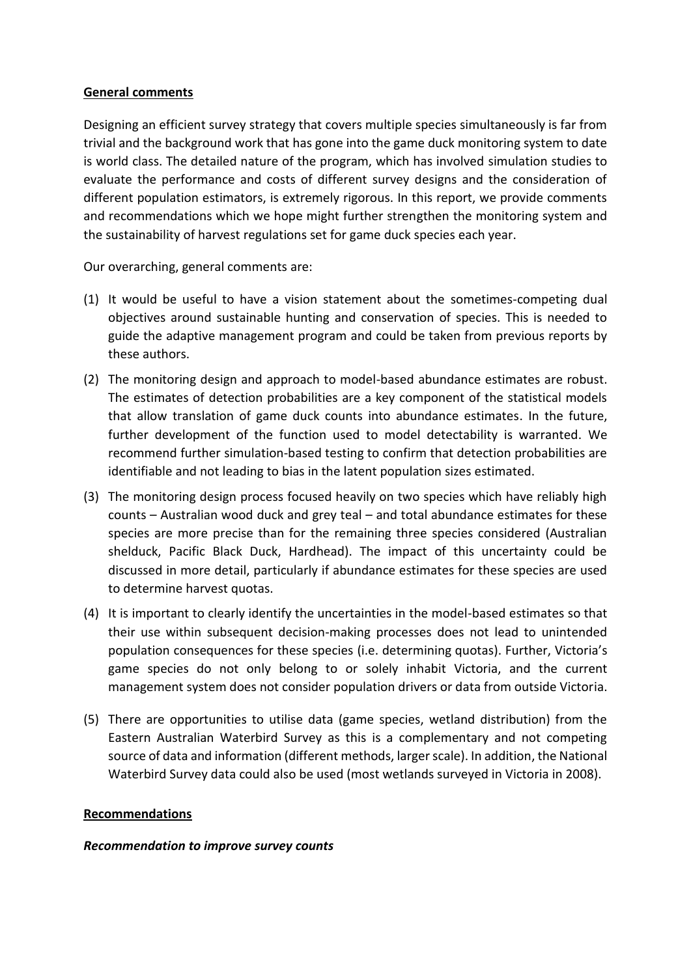### **General comments**

Designing an efficient survey strategy that covers multiple species simultaneously is far from trivial and the background work that has gone into the game duck monitoring system to date is world class. The detailed nature of the program, which has involved simulation studies to evaluate the performance and costs of different survey designs and the consideration of different population estimators, is extremely rigorous. In this report, we provide comments and recommendations which we hope might further strengthen the monitoring system and the sustainability of harvest regulations set for game duck species each year.

Our overarching, general comments are:

- (1) It would be useful to have a vision statement about the sometimes-competing dual objectives around sustainable hunting and conservation of species. This is needed to guide the adaptive management program and could be taken from previous reports by these authors.
- (2) The monitoring design and approach to model-based abundance estimates are robust. The estimates of detection probabilities are a key component of the statistical models that allow translation of game duck counts into abundance estimates. In the future, further development of the function used to model detectability is warranted. We recommend further simulation-based testing to confirm that detection probabilities are identifiable and not leading to bias in the latent population sizes estimated.
- (3) The monitoring design process focused heavily on two species which have reliably high counts – Australian wood duck and grey teal – and total abundance estimates for these species are more precise than for the remaining three species considered (Australian shelduck, Pacific Black Duck, Hardhead). The impact of this uncertainty could be discussed in more detail, particularly if abundance estimates for these species are used to determine harvest quotas.
- (4) It is important to clearly identify the uncertainties in the model-based estimates so that their use within subsequent decision-making processes does not lead to unintended population consequences for these species (i.e. determining quotas). Further, Victoria's game species do not only belong to or solely inhabit Victoria, and the current management system does not consider population drivers or data from outside Victoria.
- (5) There are opportunities to utilise data (game species, wetland distribution) from the Eastern Australian Waterbird Survey as this is a complementary and not competing source of data and information (different methods, larger scale). In addition, the National Waterbird Survey data could also be used (most wetlands surveyed in Victoria in 2008).

## **Recommendations**

#### *Recommendation to improve survey counts*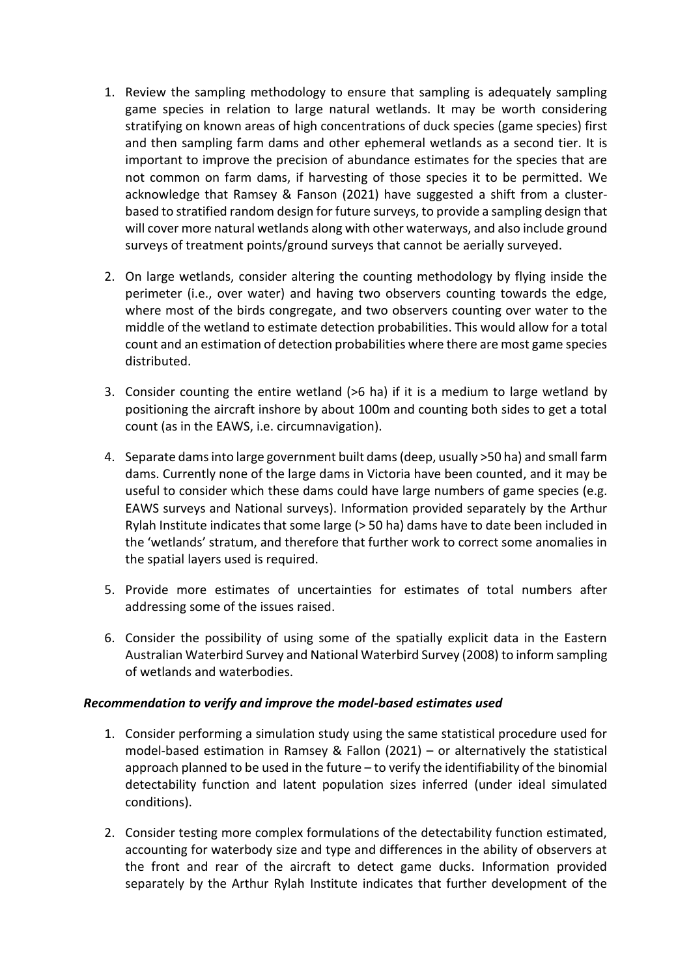- 1. Review the sampling methodology to ensure that sampling is adequately sampling game species in relation to large natural wetlands. It may be worth considering stratifying on known areas of high concentrations of duck species (game species) first and then sampling farm dams and other ephemeral wetlands as a second tier. It is important to improve the precision of abundance estimates for the species that are not common on farm dams, if harvesting of those species it to be permitted. We acknowledge that Ramsey & Fanson (2021) have suggested a shift from a clusterbased to stratified random design for future surveys, to provide a sampling design that will cover more natural wetlands along with other waterways, and also include ground surveys of treatment points/ground surveys that cannot be aerially surveyed.
- 2. On large wetlands, consider altering the counting methodology by flying inside the perimeter (i.e., over water) and having two observers counting towards the edge, where most of the birds congregate, and two observers counting over water to the middle of the wetland to estimate detection probabilities. This would allow for a total count and an estimation of detection probabilities where there are most game species distributed.
- 3. Consider counting the entire wetland (>6 ha) if it is a medium to large wetland by positioning the aircraft inshore by about 100m and counting both sides to get a total count (as in the EAWS, i.e. circumnavigation).
- 4. Separate dams into large government built dams (deep, usually >50 ha) and small farm dams. Currently none of the large dams in Victoria have been counted, and it may be useful to consider which these dams could have large numbers of game species (e.g. EAWS surveys and National surveys). Information provided separately by the Arthur Rylah Institute indicates that some large (> 50 ha) dams have to date been included in the 'wetlands' stratum, and therefore that further work to correct some anomalies in the spatial layers used is required.
- 5. Provide more estimates of uncertainties for estimates of total numbers after addressing some of the issues raised.
- 6. Consider the possibility of using some of the spatially explicit data in the Eastern Australian Waterbird Survey and National Waterbird Survey (2008) to inform sampling of wetlands and waterbodies.

#### *Recommendation to verify and improve the model-based estimates used*

- 1. Consider performing a simulation study using the same statistical procedure used for model-based estimation in Ramsey & Fallon (2021) – or alternatively the statistical approach planned to be used in the future – to verify the identifiability of the binomial detectability function and latent population sizes inferred (under ideal simulated conditions).
- 2. Consider testing more complex formulations of the detectability function estimated, accounting for waterbody size and type and differences in the ability of observers at the front and rear of the aircraft to detect game ducks. Information provided separately by the Arthur Rylah Institute indicates that further development of the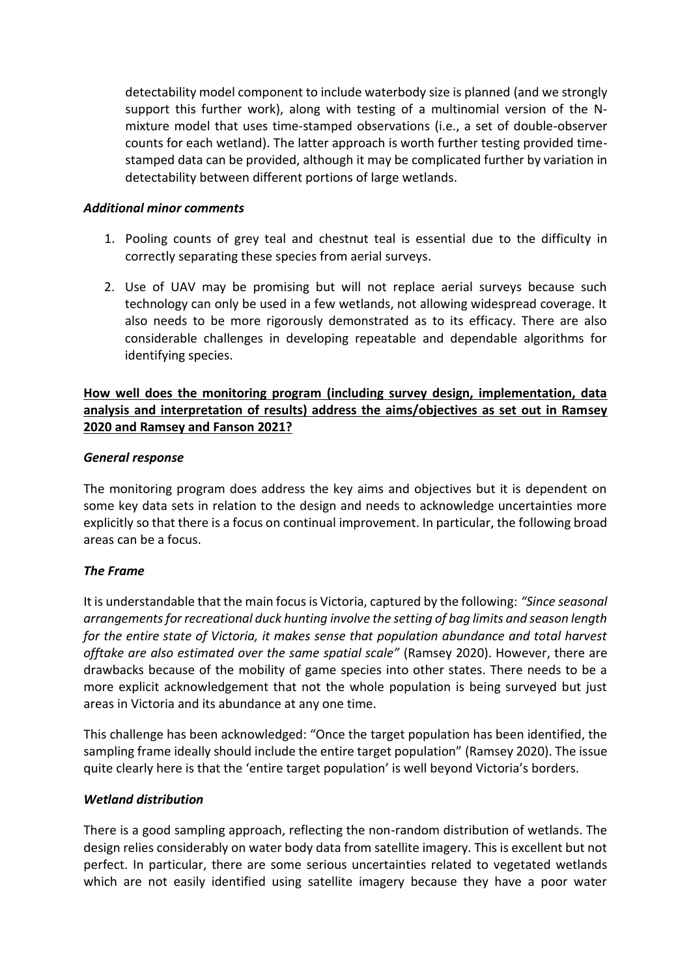detectability model component to include waterbody size is planned (and we strongly support this further work), along with testing of a multinomial version of the Nmixture model that uses time-stamped observations (i.e., a set of double-observer counts for each wetland). The latter approach is worth further testing provided timestamped data can be provided, although it may be complicated further by variation in detectability between different portions of large wetlands.

### *Additional minor comments*

- 1. Pooling counts of grey teal and chestnut teal is essential due to the difficulty in correctly separating these species from aerial surveys.
- 2. Use of UAV may be promising but will not replace aerial surveys because such technology can only be used in a few wetlands, not allowing widespread coverage. It also needs to be more rigorously demonstrated as to its efficacy. There are also considerable challenges in developing repeatable and dependable algorithms for identifying species.

# **How well does the monitoring program (including survey design, implementation, data analysis and interpretation of results) address the aims/objectives as set out in Ramsey 2020 and Ramsey and Fanson 2021?**

### *General response*

The monitoring program does address the key aims and objectives but it is dependent on some key data sets in relation to the design and needs to acknowledge uncertainties more explicitly so that there is a focus on continual improvement. In particular, the following broad areas can be a focus.

## *The Frame*

It is understandable that the main focus is Victoria, captured by the following: *"Since seasonal arrangements for recreational duck hunting involve the setting of bag limits and season length for the entire state of Victoria, it makes sense that population abundance and total harvest offtake are also estimated over the same spatial scale"* (Ramsey 2020). However, there are drawbacks because of the mobility of game species into other states. There needs to be a more explicit acknowledgement that not the whole population is being surveyed but just areas in Victoria and its abundance at any one time.

This challenge has been acknowledged: "Once the target population has been identified, the sampling frame ideally should include the entire target population" (Ramsey 2020). The issue quite clearly here is that the 'entire target population' is well beyond Victoria's borders.

#### *Wetland distribution*

There is a good sampling approach, reflecting the non-random distribution of wetlands. The design relies considerably on water body data from satellite imagery. This is excellent but not perfect. In particular, there are some serious uncertainties related to vegetated wetlands which are not easily identified using satellite imagery because they have a poor water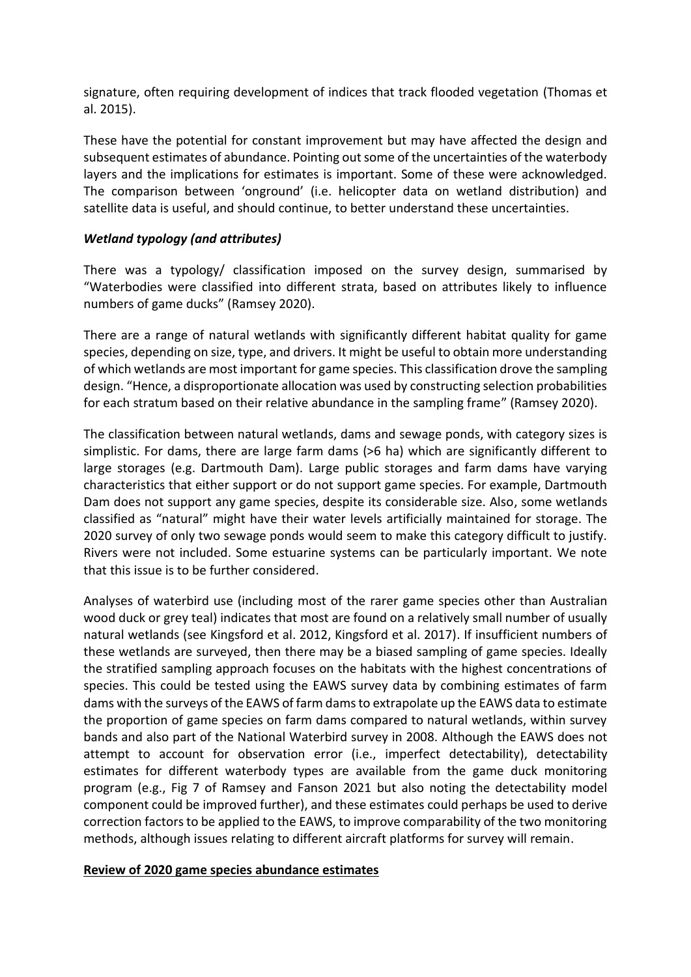signature, often requiring development of indices that track flooded vegetation (Thomas et al. 2015).

These have the potential for constant improvement but may have affected the design and subsequent estimates of abundance. Pointing out some of the uncertainties of the waterbody layers and the implications for estimates is important. Some of these were acknowledged. The comparison between 'onground' (i.e. helicopter data on wetland distribution) and satellite data is useful, and should continue, to better understand these uncertainties.

## *Wetland typology (and attributes)*

There was a typology/ classification imposed on the survey design, summarised by "Waterbodies were classified into different strata, based on attributes likely to influence numbers of game ducks" (Ramsey 2020).

There are a range of natural wetlands with significantly different habitat quality for game species, depending on size, type, and drivers. It might be useful to obtain more understanding of which wetlands are most important for game species. This classification drove the sampling design. "Hence, a disproportionate allocation was used by constructing selection probabilities for each stratum based on their relative abundance in the sampling frame" (Ramsey 2020).

The classification between natural wetlands, dams and sewage ponds, with category sizes is simplistic. For dams, there are large farm dams (>6 ha) which are significantly different to large storages (e.g. Dartmouth Dam). Large public storages and farm dams have varying characteristics that either support or do not support game species. For example, Dartmouth Dam does not support any game species, despite its considerable size. Also, some wetlands classified as "natural" might have their water levels artificially maintained for storage. The 2020 survey of only two sewage ponds would seem to make this category difficult to justify. Rivers were not included. Some estuarine systems can be particularly important. We note that this issue is to be further considered.

Analyses of waterbird use (including most of the rarer game species other than Australian wood duck or grey teal) indicates that most are found on a relatively small number of usually natural wetlands (see Kingsford et al. 2012, Kingsford et al. 2017). If insufficient numbers of these wetlands are surveyed, then there may be a biased sampling of game species. Ideally the stratified sampling approach focuses on the habitats with the highest concentrations of species. This could be tested using the EAWS survey data by combining estimates of farm dams with the surveys of the EAWS of farm dams to extrapolate up the EAWS data to estimate the proportion of game species on farm dams compared to natural wetlands, within survey bands and also part of the National Waterbird survey in 2008. Although the EAWS does not attempt to account for observation error (i.e., imperfect detectability), detectability estimates for different waterbody types are available from the game duck monitoring program (e.g., Fig 7 of Ramsey and Fanson 2021 but also noting the detectability model component could be improved further), and these estimates could perhaps be used to derive correction factors to be applied to the EAWS, to improve comparability of the two monitoring methods, although issues relating to different aircraft platforms for survey will remain.

#### **Review of 2020 game species abundance estimates**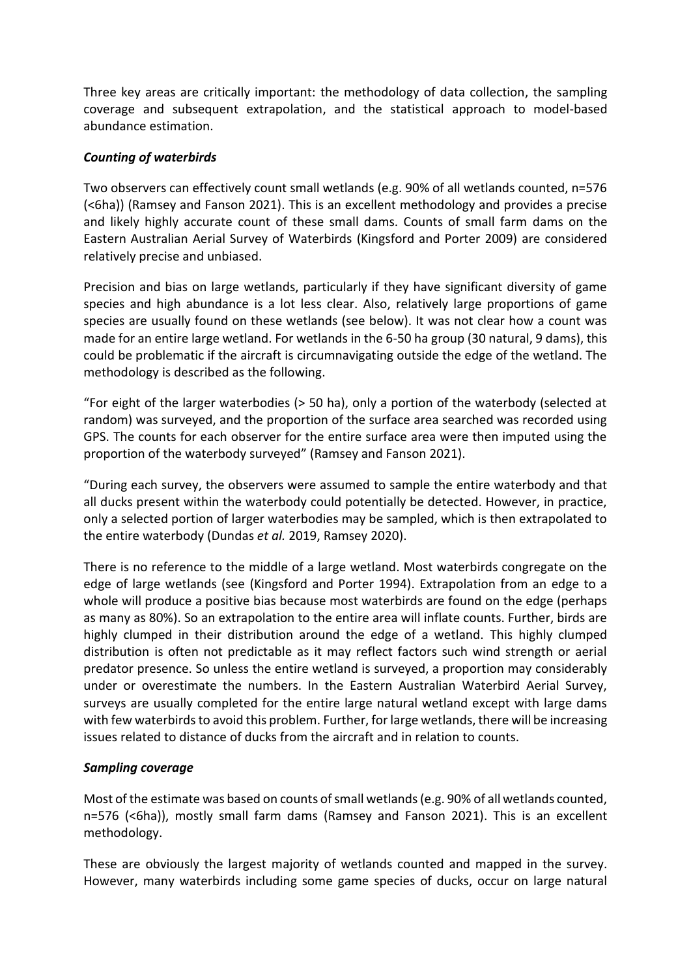Three key areas are critically important: the methodology of data collection, the sampling coverage and subsequent extrapolation, and the statistical approach to model-based abundance estimation.

## *Counting of waterbirds*

Two observers can effectively count small wetlands (e.g. 90% of all wetlands counted, n=576 (<6ha)) (Ramsey and Fanson 2021). This is an excellent methodology and provides a precise and likely highly accurate count of these small dams. Counts of small farm dams on the Eastern Australian Aerial Survey of Waterbirds (Kingsford and Porter 2009) are considered relatively precise and unbiased.

Precision and bias on large wetlands, particularly if they have significant diversity of game species and high abundance is a lot less clear. Also, relatively large proportions of game species are usually found on these wetlands (see below). It was not clear how a count was made for an entire large wetland. For wetlands in the 6-50 ha group (30 natural, 9 dams), this could be problematic if the aircraft is circumnavigating outside the edge of the wetland. The methodology is described as the following.

"For eight of the larger waterbodies (> 50 ha), only a portion of the waterbody (selected at random) was surveyed, and the proportion of the surface area searched was recorded using GPS. The counts for each observer for the entire surface area were then imputed using the proportion of the waterbody surveyed" (Ramsey and Fanson 2021).

"During each survey, the observers were assumed to sample the entire waterbody and that all ducks present within the waterbody could potentially be detected. However, in practice, only a selected portion of larger waterbodies may be sampled, which is then extrapolated to the entire waterbody (Dundas *et al.* 2019, Ramsey 2020).

There is no reference to the middle of a large wetland. Most waterbirds congregate on the edge of large wetlands (see (Kingsford and Porter 1994). Extrapolation from an edge to a whole will produce a positive bias because most waterbirds are found on the edge (perhaps as many as 80%). So an extrapolation to the entire area will inflate counts. Further, birds are highly clumped in their distribution around the edge of a wetland. This highly clumped distribution is often not predictable as it may reflect factors such wind strength or aerial predator presence. So unless the entire wetland is surveyed, a proportion may considerably under or overestimate the numbers. In the Eastern Australian Waterbird Aerial Survey, surveys are usually completed for the entire large natural wetland except with large dams with few waterbirds to avoid this problem. Further, for large wetlands, there will be increasing issues related to distance of ducks from the aircraft and in relation to counts.

## *Sampling coverage*

Most of the estimate was based on counts of small wetlands (e.g. 90% of all wetlands counted, n=576 (<6ha)), mostly small farm dams (Ramsey and Fanson 2021). This is an excellent methodology.

These are obviously the largest majority of wetlands counted and mapped in the survey. However, many waterbirds including some game species of ducks, occur on large natural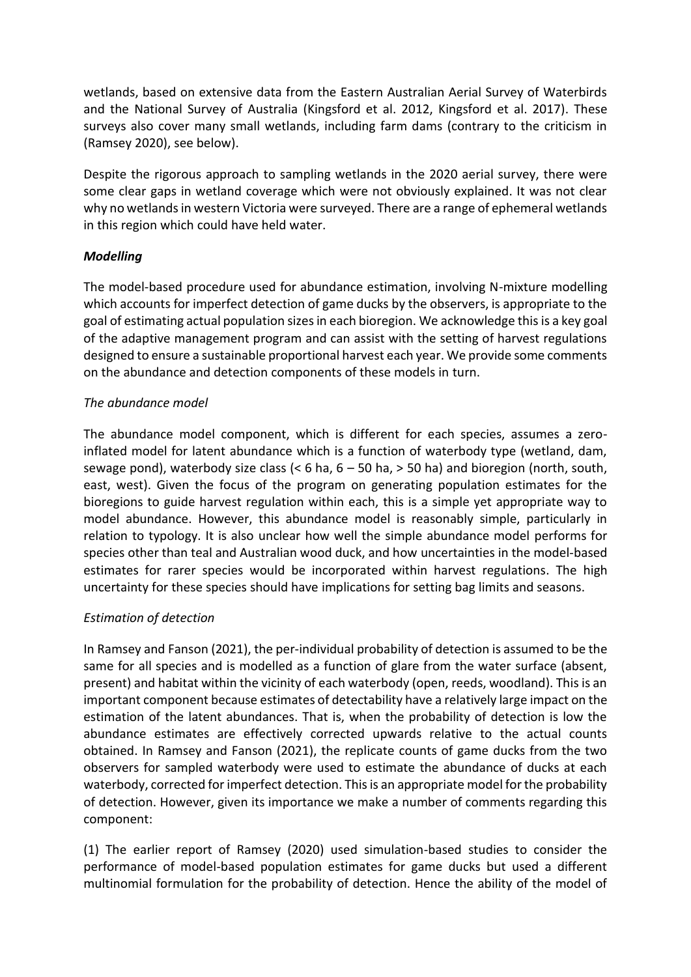wetlands, based on extensive data from the Eastern Australian Aerial Survey of Waterbirds and the National Survey of Australia (Kingsford et al. 2012, Kingsford et al. 2017). These surveys also cover many small wetlands, including farm dams (contrary to the criticism in (Ramsey 2020), see below).

Despite the rigorous approach to sampling wetlands in the 2020 aerial survey, there were some clear gaps in wetland coverage which were not obviously explained. It was not clear why no wetlands in western Victoria were surveyed. There are a range of ephemeral wetlands in this region which could have held water.

### *Modelling*

The model-based procedure used for abundance estimation, involving N-mixture modelling which accounts for imperfect detection of game ducks by the observers, is appropriate to the goal of estimating actual population sizes in each bioregion. We acknowledge this is a key goal of the adaptive management program and can assist with the setting of harvest regulations designed to ensure a sustainable proportional harvest each year. We provide some comments on the abundance and detection components of these models in turn.

### *The abundance model*

The abundance model component, which is different for each species, assumes a zeroinflated model for latent abundance which is a function of waterbody type (wetland, dam, sewage pond), waterbody size class (< 6 ha, 6 – 50 ha, > 50 ha) and bioregion (north, south, east, west). Given the focus of the program on generating population estimates for the bioregions to guide harvest regulation within each, this is a simple yet appropriate way to model abundance. However, this abundance model is reasonably simple, particularly in relation to typology. It is also unclear how well the simple abundance model performs for species other than teal and Australian wood duck, and how uncertainties in the model-based estimates for rarer species would be incorporated within harvest regulations. The high uncertainty for these species should have implications for setting bag limits and seasons.

## *Estimation of detection*

In Ramsey and Fanson (2021), the per-individual probability of detection is assumed to be the same for all species and is modelled as a function of glare from the water surface (absent, present) and habitat within the vicinity of each waterbody (open, reeds, woodland). This is an important component because estimates of detectability have a relatively large impact on the estimation of the latent abundances. That is, when the probability of detection is low the abundance estimates are effectively corrected upwards relative to the actual counts obtained. In Ramsey and Fanson (2021), the replicate counts of game ducks from the two observers for sampled waterbody were used to estimate the abundance of ducks at each waterbody, corrected for imperfect detection. This is an appropriate model for the probability of detection. However, given its importance we make a number of comments regarding this component:

(1) The earlier report of Ramsey (2020) used simulation-based studies to consider the performance of model-based population estimates for game ducks but used a different multinomial formulation for the probability of detection. Hence the ability of the model of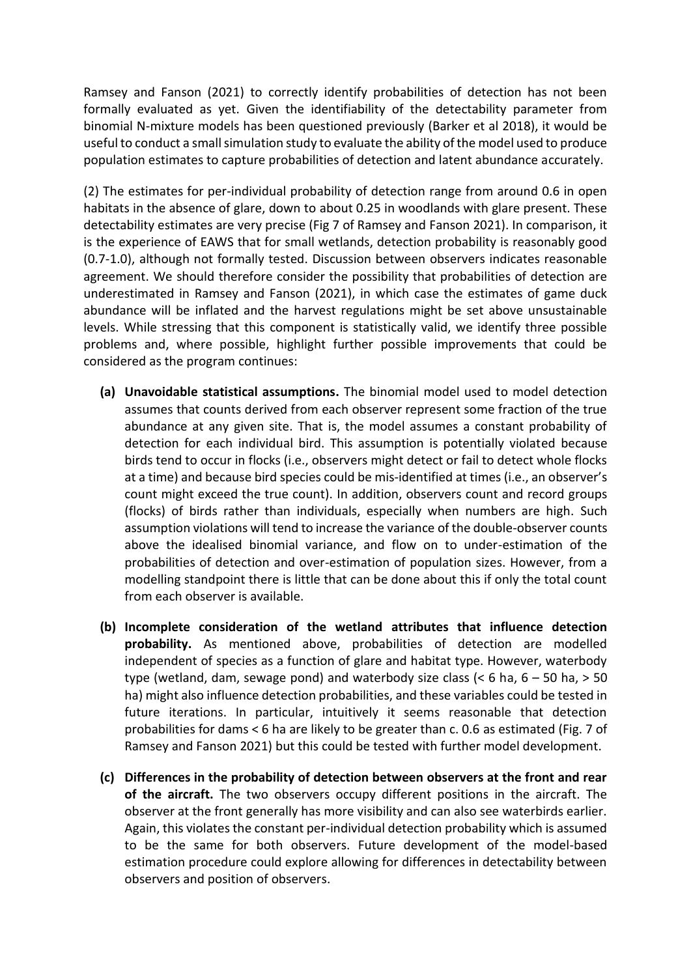Ramsey and Fanson (2021) to correctly identify probabilities of detection has not been formally evaluated as yet. Given the identifiability of the detectability parameter from binomial N-mixture models has been questioned previously (Barker et al 2018), it would be useful to conduct a small simulation study to evaluate the ability of the model used to produce population estimates to capture probabilities of detection and latent abundance accurately.

(2) The estimates for per-individual probability of detection range from around 0.6 in open habitats in the absence of glare, down to about 0.25 in woodlands with glare present. These detectability estimates are very precise (Fig 7 of Ramsey and Fanson 2021). In comparison, it is the experience of EAWS that for small wetlands, detection probability is reasonably good (0.7-1.0), although not formally tested. Discussion between observers indicates reasonable agreement. We should therefore consider the possibility that probabilities of detection are underestimated in Ramsey and Fanson (2021), in which case the estimates of game duck abundance will be inflated and the harvest regulations might be set above unsustainable levels. While stressing that this component is statistically valid, we identify three possible problems and, where possible, highlight further possible improvements that could be considered as the program continues:

- **(a) Unavoidable statistical assumptions.** The binomial model used to model detection assumes that counts derived from each observer represent some fraction of the true abundance at any given site. That is, the model assumes a constant probability of detection for each individual bird. This assumption is potentially violated because birds tend to occur in flocks (i.e., observers might detect or fail to detect whole flocks at a time) and because bird species could be mis-identified at times (i.e., an observer's count might exceed the true count). In addition, observers count and record groups (flocks) of birds rather than individuals, especially when numbers are high. Such assumption violations will tend to increase the variance of the double-observer counts above the idealised binomial variance, and flow on to under-estimation of the probabilities of detection and over-estimation of population sizes. However, from a modelling standpoint there is little that can be done about this if only the total count from each observer is available.
- **(b) Incomplete consideration of the wetland attributes that influence detection probability.** As mentioned above, probabilities of detection are modelled independent of species as a function of glare and habitat type. However, waterbody type (wetland, dam, sewage pond) and waterbody size class (< 6 ha, 6 – 50 ha, > 50 ha) might also influence detection probabilities, and these variables could be tested in future iterations. In particular, intuitively it seems reasonable that detection probabilities for dams < 6 ha are likely to be greater than c. 0.6 as estimated (Fig. 7 of Ramsey and Fanson 2021) but this could be tested with further model development.
- **(c) Differences in the probability of detection between observers at the front and rear of the aircraft.** The two observers occupy different positions in the aircraft. The observer at the front generally has more visibility and can also see waterbirds earlier. Again, this violates the constant per-individual detection probability which is assumed to be the same for both observers. Future development of the model-based estimation procedure could explore allowing for differences in detectability between observers and position of observers.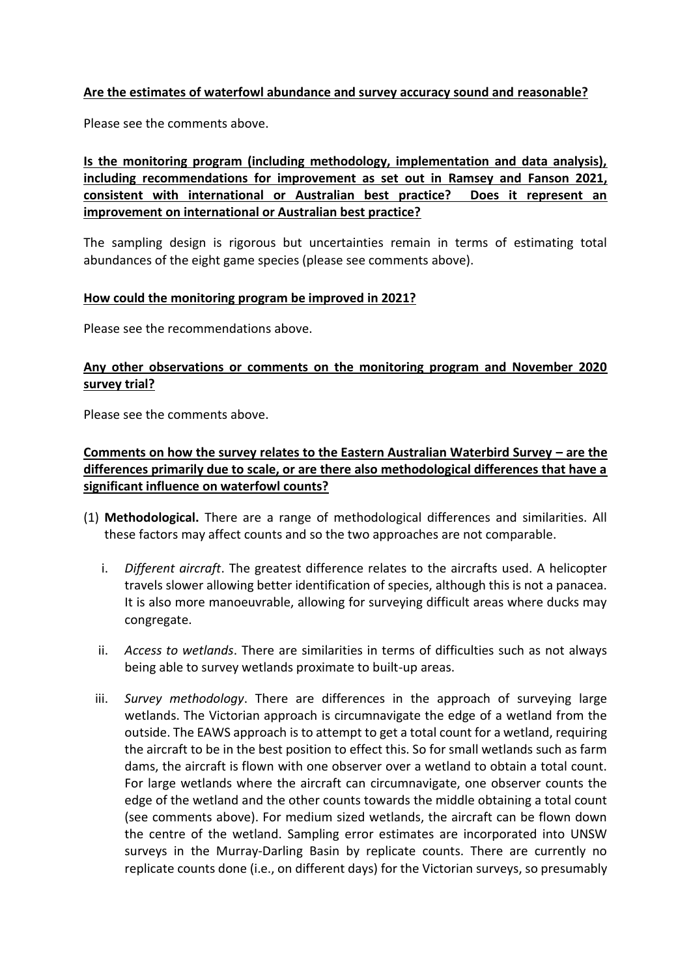## **Are the estimates of waterfowl abundance and survey accuracy sound and reasonable?**

Please see the comments above.

**Is the monitoring program (including methodology, implementation and data analysis), including recommendations for improvement as set out in Ramsey and Fanson 2021, consistent with international or Australian best practice? Does it represent an improvement on international or Australian best practice?**

The sampling design is rigorous but uncertainties remain in terms of estimating total abundances of the eight game species (please see comments above).

### **How could the monitoring program be improved in 2021?**

Please see the recommendations above.

## **Any other observations or comments on the monitoring program and November 2020 survey trial?**

Please see the comments above.

**Comments on how the survey relates to the Eastern Australian Waterbird Survey – are the differences primarily due to scale, or are there also methodological differences that have a significant influence on waterfowl counts?**

- (1) **Methodological.** There are a range of methodological differences and similarities. All these factors may affect counts and so the two approaches are not comparable.
	- i. *Different aircraft*. The greatest difference relates to the aircrafts used. A helicopter travels slower allowing better identification of species, although this is not a panacea. It is also more manoeuvrable, allowing for surveying difficult areas where ducks may congregate.
	- ii. *Access to wetlands*. There are similarities in terms of difficulties such as not always being able to survey wetlands proximate to built-up areas.
	- iii. *Survey methodology*. There are differences in the approach of surveying large wetlands. The Victorian approach is circumnavigate the edge of a wetland from the outside. The EAWS approach is to attempt to get a total count for a wetland, requiring the aircraft to be in the best position to effect this. So for small wetlands such as farm dams, the aircraft is flown with one observer over a wetland to obtain a total count. For large wetlands where the aircraft can circumnavigate, one observer counts the edge of the wetland and the other counts towards the middle obtaining a total count (see comments above). For medium sized wetlands, the aircraft can be flown down the centre of the wetland. Sampling error estimates are incorporated into UNSW surveys in the Murray-Darling Basin by replicate counts. There are currently no replicate counts done (i.e., on different days) for the Victorian surveys, so presumably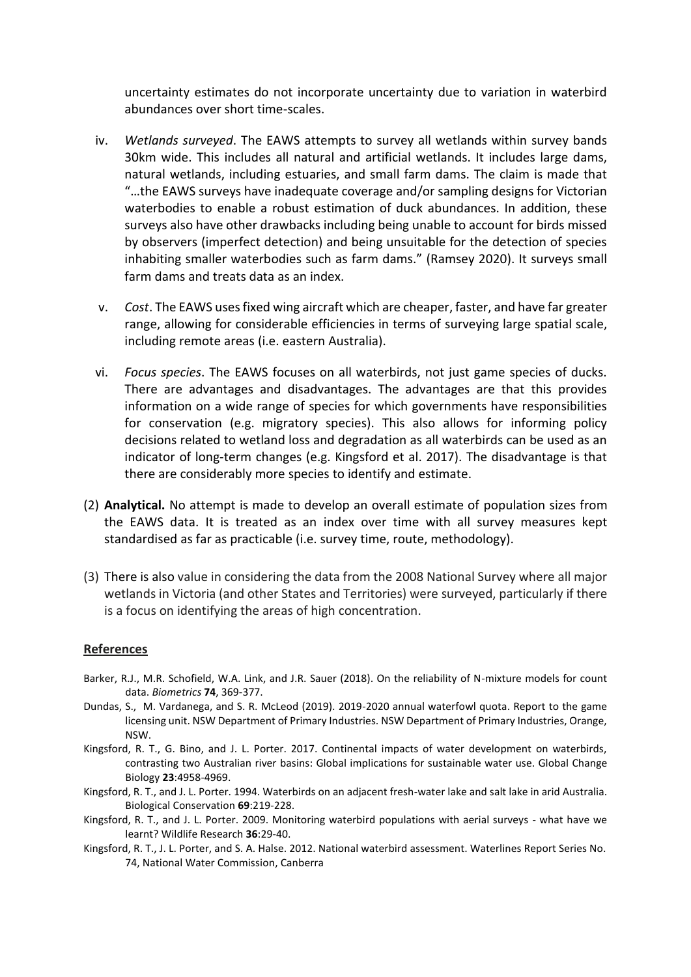uncertainty estimates do not incorporate uncertainty due to variation in waterbird abundances over short time-scales.

- iv. *Wetlands surveyed*. The EAWS attempts to survey all wetlands within survey bands 30km wide. This includes all natural and artificial wetlands. It includes large dams, natural wetlands, including estuaries, and small farm dams. The claim is made that "…the EAWS surveys have inadequate coverage and/or sampling designs for Victorian waterbodies to enable a robust estimation of duck abundances. In addition, these surveys also have other drawbacks including being unable to account for birds missed by observers (imperfect detection) and being unsuitable for the detection of species inhabiting smaller waterbodies such as farm dams." (Ramsey 2020). It surveys small farm dams and treats data as an index.
- v. *Cost*. The EAWS uses fixed wing aircraft which are cheaper, faster, and have far greater range, allowing for considerable efficiencies in terms of surveying large spatial scale, including remote areas (i.e. eastern Australia).
- vi. *Focus species*. The EAWS focuses on all waterbirds, not just game species of ducks. There are advantages and disadvantages. The advantages are that this provides information on a wide range of species for which governments have responsibilities for conservation (e.g. migratory species). This also allows for informing policy decisions related to wetland loss and degradation as all waterbirds can be used as an indicator of long-term changes (e.g. Kingsford et al. 2017). The disadvantage is that there are considerably more species to identify and estimate.
- (2) **Analytical.** No attempt is made to develop an overall estimate of population sizes from the EAWS data. It is treated as an index over time with all survey measures kept standardised as far as practicable (i.e. survey time, route, methodology).
- (3) There is also value in considering the data from the 2008 National Survey where all major wetlands in Victoria (and other States and Territories) were surveyed, particularly if there is a focus on identifying the areas of high concentration.

#### **References**

- Barker, R.J., M.R. Schofield, W.A. Link, and J.R. Sauer (2018). On the reliability of N-mixture models for count data. *Biometrics* **74**, 369-377.
- Dundas, S., M. Vardanega, and S. R. McLeod (2019). 2019-2020 annual waterfowl quota. Report to the game licensing unit. NSW Department of Primary Industries. NSW Department of Primary Industries, Orange, NSW.
- Kingsford, R. T., G. Bino, and J. L. Porter. 2017. Continental impacts of water development on waterbirds, contrasting two Australian river basins: Global implications for sustainable water use. Global Change Biology **23**:4958-4969.
- Kingsford, R. T., and J. L. Porter. 1994. Waterbirds on an adjacent fresh-water lake and salt lake in arid Australia. Biological Conservation **69**:219-228.
- Kingsford, R. T., and J. L. Porter. 2009. Monitoring waterbird populations with aerial surveys what have we learnt? Wildlife Research **36**:29-40.
- Kingsford, R. T., J. L. Porter, and S. A. Halse. 2012. National waterbird assessment. Waterlines Report Series No. 74, National Water Commission, Canberra